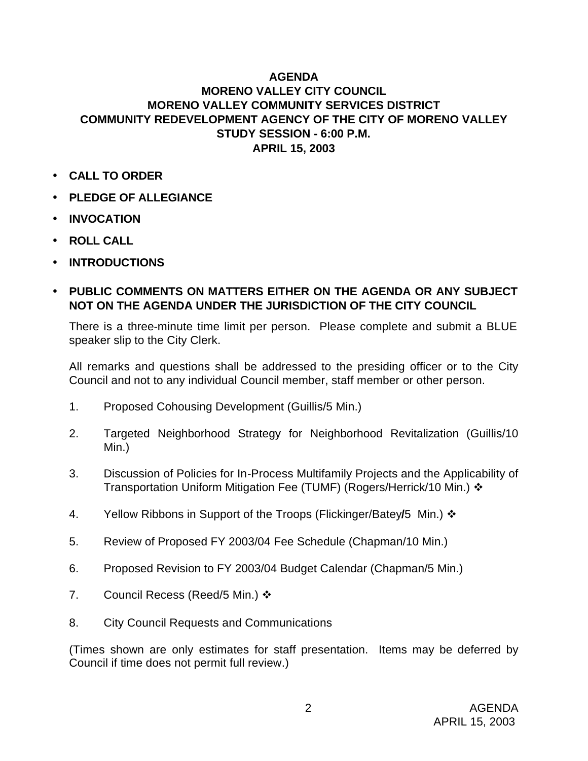## **AGENDA MORENO VALLEY CITY COUNCIL MORENO VALLEY COMMUNITY SERVICES DISTRICT COMMUNITY REDEVELOPMENT AGENCY OF THE CITY OF MORENO VALLEY STUDY SESSION - 6:00 P.M. APRIL 15, 2003**

- **CALL TO ORDER**
- **PLEDGE OF ALLEGIANCE**
- **INVOCATION**
- **ROLL CALL**
- **INTRODUCTIONS**
- **PUBLIC COMMENTS ON MATTERS EITHER ON THE AGENDA OR ANY SUBJECT NOT ON THE AGENDA UNDER THE JURISDICTION OF THE CITY COUNCIL**

There is a three-minute time limit per person. Please complete and submit a BLUE speaker slip to the City Clerk.

All remarks and questions shall be addressed to the presiding officer or to the City Council and not to any individual Council member, staff member or other person.

- 1. Proposed Cohousing Development (Guillis/5 Min.)
- 2. Targeted Neighborhood Strategy for Neighborhood Revitalization (Guillis/10 Min.)
- 3. Discussion of Policies for In-Process Multifamily Projects and the Applicability of Transportation Uniform Mitigation Fee (TUMF) (Rogers/Herrick/10 Min.) ❖
- 4. Yellow Ribbons in Support of the Troops (Flickinger/Batey/5 Min.)  $\cdot$
- 5. Review of Proposed FY 2003/04 Fee Schedule (Chapman/10 Min.)
- 6. Proposed Revision to FY 2003/04 Budget Calendar (Chapman/5 Min.)
- 7. Council Recess (Reed/5 Min.)  $\cdot$
- 8. City Council Requests and Communications

(Times shown are only estimates for staff presentation. Items may be deferred by Council if time does not permit full review.)